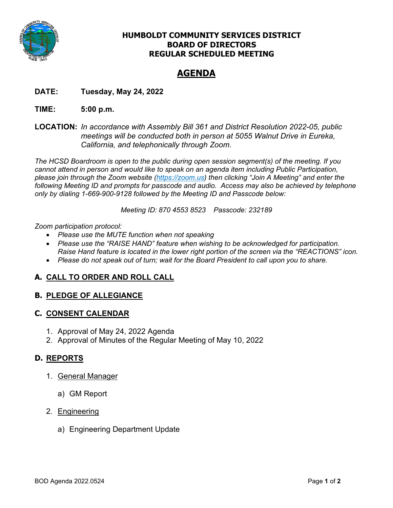

## **HUMBOLDT COMMUNITY SERVICES DISTRICT BOARD OF DIRECTORS REGULAR SCHEDULED MEETING**

# **AGENDA**

**DATE: Tuesday, May 24, 2022** 

## **TIME: 5:00 p.m.**

**LOCATION:** *In accordance with Assembly Bill 361 and District Resolution 2022-05, public meetings will be conducted both in person at 5055 Walnut Drive in Eureka, California, and telephonically through Zoom.* 

*The HCSD Boardroom is open to the public during open session segment(s) of the meeting. If you cannot attend in person and would like to speak on an agenda item including Public Participation, please join through the Zoom website (https://zoom.us) then clicking "Join A Meeting" and enter the following Meeting ID and prompts for passcode and audio. Access may also be achieved by telephone only by dialing 1-669-900-9128 followed by the Meeting ID and Passcode below:* 

*Meeting ID: 870 4553 8523 Passcode: 232189* 

## *Zoom participation protocol:*

- *Please use the MUTE function when not speaking*
- *Please use the "RAISE HAND" feature when wishing to be acknowledged for participation. Raise Hand feature is located in the lower right portion of the screen via the "REACTIONS" icon.*
- *Please do not speak out of turn; wait for the Board President to call upon you to share.*

## **A. CALL TO ORDER AND ROLL CALL**

## **B. PLEDGE OF ALLEGIANCE**

## **C. CONSENT CALENDAR**

- 1. Approval of May 24, 2022 Agenda
- 2. Approval of Minutes of the Regular Meeting of May 10, 2022

## **D. REPORTS**

- 1. General Manager
	- a) GM Report
- 2. Engineering
	- a) Engineering Department Update